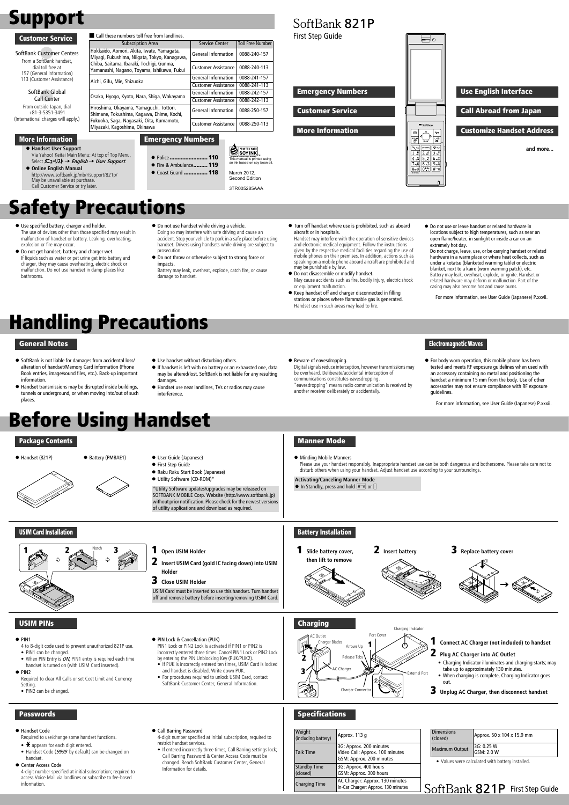#### SoftBank Global Call Center

From outside Japan, dial +81-3-5351-3491 (International charges will apply.)

SoftBank Customer Centers From a SoftBank handset, dial toll free at 157 (General Information) 113 (Customer Assistance)

Hokkaido, Aomori, Akita, Iwate, Yamagata, Miyagi, Fukushima, Niigata, Tokyo, Kanagawa, Chiba, Saitama, Ibaraki, Tochigi, Gunma, Yamanashi, Nagano, Toyama, Ishikawa, Fukui

! **Handset User Support** Via Yahoo! Keitai Main Menu: At top of Top Menu, Select **メニューリスト → English → User Support**.

Aichi, Gifu, Mie, Shizuoka General Information 0088-241-157

Osaka, Hyogo, Kyoto, Nara, Shiga, Wakayama (General Information 0088-242-157<br>Customer Assistance 0088-242-113

Customer Assistance 0088-241-113

**Customer Assistance** 

Hiroshima, Okayama, Yamaguchi, Tottori, Shimane, Tokushima, Kagawa, Ehime, Kochi, Fukuoka, Saga, Nagasaki, Oita, Kumamoto,

Miyazaki, Kagoshima, Okinawa

## Support

#### More Information

#### Customer Service

- PIN1 can be changed
- When PIN Entry is  $ON$ , PIN1 entry is required each time handset is turned on (with USIM Card inserted).

#### $\bullet$  PIN<sub>2</sub>

Required to clear All Calls or set Cost Limit and Currency **Setting** 

! **Online English Manual** http://www.softbank.jp/mb/r/support/821p/ May be unavailable at purchase. Call Customer Service or try later.

Emergency Numbers

**• Police ........................ 110 •** Fire & Ambulance......... 119 **• Coast Guard ............... 118** 

General Information | 0088-240-157

Customer Assistance | 0088-240-113

General Information 0088-250-157 Customer Assistance 0088-250-113

This manual is printed using<br>an ink based on soy bean oil.

## Before Using Handset

#### Package Contents



- 
- **•** First Step Guide
- ! Raku Raku Start Book (Japanese)
- $\bullet$  Utility Software (CD-ROM)\*

- $\mathbf{\times}$  appears for each digit entered.
- Handset Code (9999 by default) can be changed on handset.

#### **• Center Access Code**

# ! Handset (821P) ! Battery (PMBAE1) ! User Guide (Japanese)

**• Beware of eavesdropping.** 

\*Utility Software updates/upgrades may be released on SOFTBANK MOBILE Corp. Website (http://www.softbank.jp) without prior notification. Please check for the newest versions of utility applications and download as required.

#### USIM Card Installation

#### 1 **Open USIM Holder**

2 **Insert USIM Card (gold IC facing down) into USIM Holder**

3 **Close USIM Holder**

USIM Card must be inserted to use this handset. Turn handset off and remove battery before inserting/removing USIM Card.



#### USIM PINs

#### $\bullet$  PIN1

4 to 8-digit code used to prevent unauthorized 821P use.

**Activating/Canceling Manner Mode**  $\bullet$  In Standby, press and hold  $\boxed{\text{#``}\text{#}}$  or  $\Box$ 



• PIN2 can be changed.

#### ● PIN Lock & Cancellation (PUK)

PIN1 Lock or PIN2 Lock is activated if PIN1 or PIN2 is incorrectly entered three times. Cancel PIN1 Lock or PIN2 Lock by entering the PIN Unblocking Key (PUK/PUK2).

- If PUK is incorrectly entered ten times, USIM Card is locked and handset is disabled. Write down PUK.
- For procedures required to unlock USIM Card, contact SoftBank Customer Center, General Information.

Required to use/change some handset functions.

4-digit number specified at initial subscription; required to access Voice Mail via landlines or subscribe to fee-based information.

#### **• Call Barring Password**

4-digit number specified at initial subscription, required to restrict handset services.

• If entered incorrectly three times, Call Barring settings lock; Call Barring Password & Center Access Code must be changed. Reach SoftBank Customer Center, General Information for details.

- Use specified battery, charger and holder. The use of devices other than those specified may result in malfunction of handset or battery. Leaking, overheating, explosion or fire may occur.
- $\bullet$  Do not get handset, battery and charger wet. If liquids such as water or pet urine get into battery and charger, they may cause overheating, electric shock or malfunction. Do not use handset in damp places like bathrooms.
- $\bullet$  Do not use handset while driving a vehicle. Doing so may interfere with safe driving and cause an accident. Stop your vehicle to park in a safe place before using handset. Drivers using handsets while driving are subject to

Subscription Area Service Center Toll Free Number

#### 1 **Connect AC Charger (not included) to handset**

 $\bullet$  Do not throw or otherwise subject to strong force or impacts.

#### 2 **Plug AC Charger into AC Outlet**

- Charging Indicator illuminates and charging starts; may take up to approximately 130 minutes.
- When charging is complete, Charging Indicator goes out.
- 3 **Unplug AC Charger, then disconnect handset**

#### **Passwords**

#### **.** Handset Code



### Battery Installation

- $\bullet$  Do not disassemble or modify handset. May cause accidents such as fire, bodily injury, electric shock or equipment malfunction.
- $\bullet$  Keep handset off and charger disconnected in filling stations or places where flammable gas is generated. Handset use in such areas may lead to fire.







#### Specifications

• Values were calculated with battery installed.

SoftBank 821P First Step Guide

| Weight<br>(including battery)   | Approx. 113 q                                                                          |
|---------------------------------|----------------------------------------------------------------------------------------|
| <b>Talk Time</b>                | 3G: Approx. 200 minutes<br>Video Call: Approx. 100 minutes<br>GSM: Approx. 200 minutes |
| <b>Standby Time</b><br>(closed) | 3G: Approx. 400 hours<br>GSM: Approx. 300 hours                                        |
| <b>Charging Time</b>            | AC Charger: Approx. 130 minutes<br>In-Car Charger: Approx. 130 minutes                 |

| <b>Dimensions</b><br>(closed) | Approx. 50 x 104 x 15.9 mm |
|-------------------------------|----------------------------|
| <b>Maximum Output</b>         | 3G: 0.25 W<br>GSM: 2.0 W   |

#### Manner Mode

 $\bullet$  Minding Mobile Manners

Please use your handset responsibly. Inappropriate handset use can be both dangerous and bothersome. Please take care not to disturb others when using your handset. Adjust handset use according to your surroundings.

Emergency Numbers

SoftBank 821P

Customer Service

More Information

Use English Interface

#### Call Abroad from Japan

#### Customize Handset Address

First Step Guide

**and more...**

#### General Notes

- ! SoftBank is not liable for damages from accidental loss/ alteration of handset/Memory Card information (Phone Book entries, image/sound files, etc.). Back-up important information.
- Handset transmissions may be disrupted inside buildings,<br>tunnels or underground, or when moving inte/out of such tunnels or underground, or when moving into/out of such ! places.
- $\bullet$  Use handset without disturbing others.
- If handset is left with no battery or an exhausted one, data may be altered/lost. SoftBank is not liable for any resulting damages.
- ! Handset use near landlines, TVs or radios may cause interference.

Digital signals reduce interception, however transmissions may

be overheard. Deliberate/accidental interception of communications constitutes eavesdropping. "eavesdropping" means radio communication is received by another receiver deliberately or accidentally.

! For body worn operation, this mobile phone has been tested and meets RF exposure guidelines when used with an accessory containing no metal and positioning the handset a minimum 15 mm from the body. Use of other accessories may not ensure compliance with RF exposure guidelines.

For more information, see User Guide (Japanese) P.xxxii.

#### Electromagnetic Waves

3TR005285AAA

March 2012, Second Edition

SOYINK

## Safety Precautions

■ Call these numbers toll free from landlines.

! Turn off handset where use is prohibited, such as aboard aircraft or in hospitals.

Handset may interfere with the operation of sensitive devices and electronic medical equipment. Follow the instructions given by the respective medical facilities regarding the use of mobile phones on their premises. In addition, actions such as speaking on a mobile phone aboard aircraft are prohibited and may be punishable by law.

- 
- 
- prosecution.
- Battery may leak, overheat, explode, catch fire, or cause damage to handset.
- $\bullet$  Do not use or leave handset or related hardware in locations subject to high temperatures, such as near an open flame/heater, in sunlight or inside a car on an extremely hot day.

 $\equiv$   $\circ$ 

 $\equiv$  SoftB

 $\stackrel{\scriptscriptstyle\times}{\phantom{}_{\mathbf{1}}}\stackrel{\scriptscriptstyle\times}{\mathbf{p}}$ 

 $\begin{array}{|c|c|} \hline 7 & \frac{\pi}{\nu\alpha\kappa s} & 8 & \frac{\pi}{\nu\alpha s} \\ \hline \mathbb{1} & \mathbb{1} & 0 & \frac{\pi}{\nu\alpha s} \\ \hline \end{array}$ 

 $\mathbf{y}$ 

 $\frac{1}{\mathbf{a}}$ 

## Handling Precautions

Do not charge, leave, use, or be carrying handset or related hardware in a warm place or where heat collects, such as under a kotatsu (blanketed warming table) or electric blanket, next to a kairo (worn warming patch), etc. Battery may leak, overheat, explode, or ignite. Handset or related hardware may deform or malfunction. Part of the

casing may also become hot and cause burns.

For more information, see User Guide (Japanese) P.xxvii.